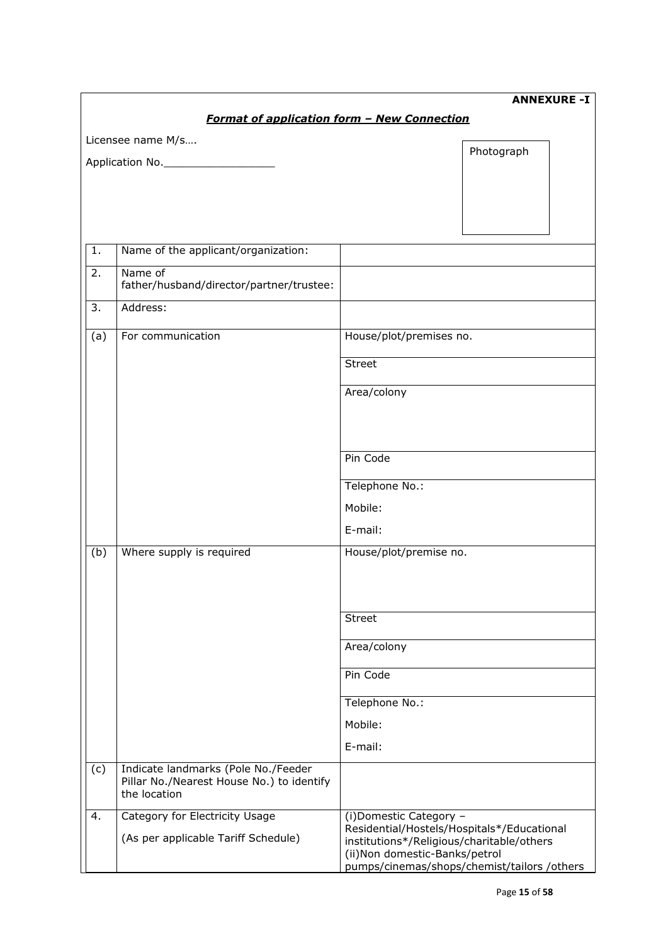|                                                    | <b>ANNEXURE -I</b>                                                                               |                                                                                                                           |  |  |  |  |  |  |  |  |  |
|----------------------------------------------------|--------------------------------------------------------------------------------------------------|---------------------------------------------------------------------------------------------------------------------------|--|--|--|--|--|--|--|--|--|
| <b>Format of application form - New Connection</b> |                                                                                                  |                                                                                                                           |  |  |  |  |  |  |  |  |  |
|                                                    | Licensee name M/s                                                                                |                                                                                                                           |  |  |  |  |  |  |  |  |  |
|                                                    | Application No.                                                                                  | Photograph                                                                                                                |  |  |  |  |  |  |  |  |  |
|                                                    |                                                                                                  |                                                                                                                           |  |  |  |  |  |  |  |  |  |
|                                                    |                                                                                                  |                                                                                                                           |  |  |  |  |  |  |  |  |  |
|                                                    |                                                                                                  |                                                                                                                           |  |  |  |  |  |  |  |  |  |
|                                                    |                                                                                                  |                                                                                                                           |  |  |  |  |  |  |  |  |  |
| 1.                                                 | Name of the applicant/organization:                                                              |                                                                                                                           |  |  |  |  |  |  |  |  |  |
| 2.                                                 | Name of<br>father/husband/director/partner/trustee:                                              |                                                                                                                           |  |  |  |  |  |  |  |  |  |
| 3.                                                 | Address:                                                                                         |                                                                                                                           |  |  |  |  |  |  |  |  |  |
| (a)                                                | For communication                                                                                | House/plot/premises no.                                                                                                   |  |  |  |  |  |  |  |  |  |
|                                                    |                                                                                                  | <b>Street</b>                                                                                                             |  |  |  |  |  |  |  |  |  |
|                                                    |                                                                                                  | Area/colony                                                                                                               |  |  |  |  |  |  |  |  |  |
|                                                    |                                                                                                  |                                                                                                                           |  |  |  |  |  |  |  |  |  |
|                                                    |                                                                                                  |                                                                                                                           |  |  |  |  |  |  |  |  |  |
|                                                    |                                                                                                  | Pin Code                                                                                                                  |  |  |  |  |  |  |  |  |  |
|                                                    |                                                                                                  |                                                                                                                           |  |  |  |  |  |  |  |  |  |
|                                                    |                                                                                                  | Telephone No.:                                                                                                            |  |  |  |  |  |  |  |  |  |
|                                                    |                                                                                                  | Mobile:                                                                                                                   |  |  |  |  |  |  |  |  |  |
|                                                    |                                                                                                  | E-mail:                                                                                                                   |  |  |  |  |  |  |  |  |  |
| (b)                                                | Where supply is required                                                                         | House/plot/premise no.                                                                                                    |  |  |  |  |  |  |  |  |  |
|                                                    |                                                                                                  |                                                                                                                           |  |  |  |  |  |  |  |  |  |
|                                                    |                                                                                                  |                                                                                                                           |  |  |  |  |  |  |  |  |  |
|                                                    |                                                                                                  | <b>Street</b>                                                                                                             |  |  |  |  |  |  |  |  |  |
|                                                    |                                                                                                  | Area/colony                                                                                                               |  |  |  |  |  |  |  |  |  |
|                                                    |                                                                                                  |                                                                                                                           |  |  |  |  |  |  |  |  |  |
|                                                    |                                                                                                  | Pin Code                                                                                                                  |  |  |  |  |  |  |  |  |  |
|                                                    |                                                                                                  | Telephone No.:                                                                                                            |  |  |  |  |  |  |  |  |  |
|                                                    |                                                                                                  | Mobile:                                                                                                                   |  |  |  |  |  |  |  |  |  |
|                                                    |                                                                                                  | E-mail:                                                                                                                   |  |  |  |  |  |  |  |  |  |
| (c)                                                | Indicate landmarks (Pole No./Feeder<br>Pillar No./Nearest House No.) to identify<br>the location |                                                                                                                           |  |  |  |  |  |  |  |  |  |
| 4.                                                 | Category for Electricity Usage                                                                   | (i) Domestic Category -                                                                                                   |  |  |  |  |  |  |  |  |  |
|                                                    | (As per applicable Tariff Schedule)                                                              | Residential/Hostels/Hospitals*/Educational<br>institutions*/Religious/charitable/others<br>(ii) Non domestic-Banks/petrol |  |  |  |  |  |  |  |  |  |
|                                                    |                                                                                                  | pumps/cinemas/shops/chemist/tailors/others                                                                                |  |  |  |  |  |  |  |  |  |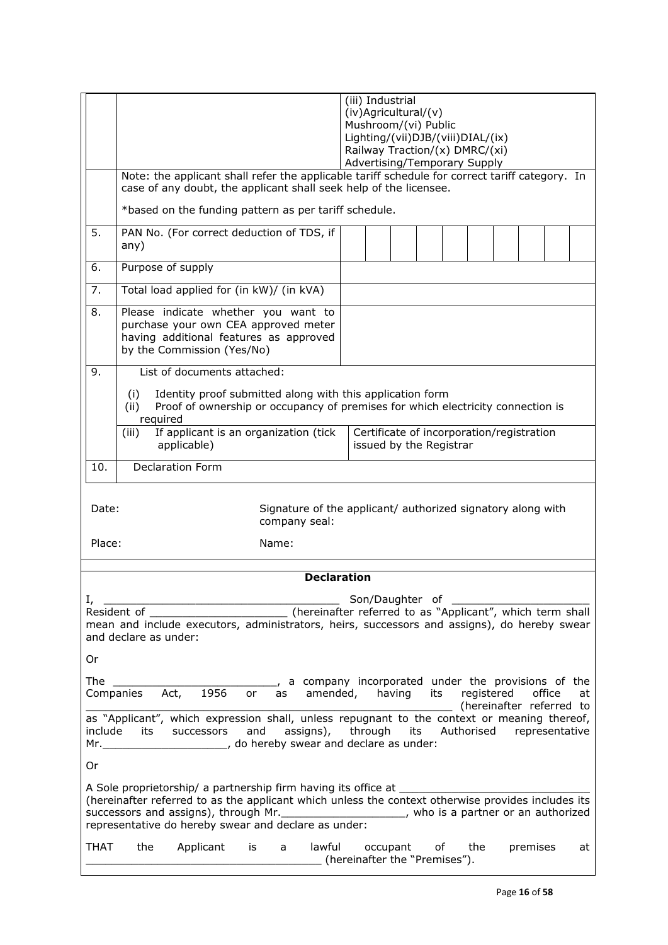|                                                                                                                                                                                                                                                                                  |                                                                                                                                                                                                                                                                                                                                       | (iii) Industrial<br>$(iv)$ Agricultural/ $(v)$<br>Mushroom/(vi) Public<br>Lighting/(vii)DJB/(viii)DIAL/(ix)<br>Railway Traction/(x) DMRC/(xi)<br>Advertising/Temporary Supply |             |  |  |  |     |  |          |  |    |  |
|----------------------------------------------------------------------------------------------------------------------------------------------------------------------------------------------------------------------------------------------------------------------------------|---------------------------------------------------------------------------------------------------------------------------------------------------------------------------------------------------------------------------------------------------------------------------------------------------------------------------------------|-------------------------------------------------------------------------------------------------------------------------------------------------------------------------------|-------------|--|--|--|-----|--|----------|--|----|--|
|                                                                                                                                                                                                                                                                                  | Note: the applicant shall refer the applicable tariff schedule for correct tariff category. In<br>case of any doubt, the applicant shall seek help of the licensee.                                                                                                                                                                   |                                                                                                                                                                               |             |  |  |  |     |  |          |  |    |  |
|                                                                                                                                                                                                                                                                                  | *based on the funding pattern as per tariff schedule.                                                                                                                                                                                                                                                                                 |                                                                                                                                                                               |             |  |  |  |     |  |          |  |    |  |
| 5.                                                                                                                                                                                                                                                                               | PAN No. (For correct deduction of TDS, if<br>any)                                                                                                                                                                                                                                                                                     |                                                                                                                                                                               |             |  |  |  |     |  |          |  |    |  |
| 6.                                                                                                                                                                                                                                                                               | Purpose of supply                                                                                                                                                                                                                                                                                                                     |                                                                                                                                                                               |             |  |  |  |     |  |          |  |    |  |
| 7.                                                                                                                                                                                                                                                                               | Total load applied for (in kW)/ (in kVA)                                                                                                                                                                                                                                                                                              |                                                                                                                                                                               |             |  |  |  |     |  |          |  |    |  |
| 8.                                                                                                                                                                                                                                                                               | Please indicate whether you want to<br>purchase your own CEA approved meter<br>having additional features as approved<br>by the Commission (Yes/No)                                                                                                                                                                                   |                                                                                                                                                                               |             |  |  |  |     |  |          |  |    |  |
| 9.                                                                                                                                                                                                                                                                               | List of documents attached:                                                                                                                                                                                                                                                                                                           |                                                                                                                                                                               |             |  |  |  |     |  |          |  |    |  |
|                                                                                                                                                                                                                                                                                  | Identity proof submitted along with this application form<br>(i)<br>Proof of ownership or occupancy of premises for which electricity connection is<br>(ii)<br>required                                                                                                                                                               |                                                                                                                                                                               |             |  |  |  |     |  |          |  |    |  |
|                                                                                                                                                                                                                                                                                  | If applicant is an organization (tick<br>(iii)<br>applicable)                                                                                                                                                                                                                                                                         | Certificate of incorporation/registration<br>issued by the Registrar                                                                                                          |             |  |  |  |     |  |          |  |    |  |
| 10.                                                                                                                                                                                                                                                                              | <b>Declaration Form</b>                                                                                                                                                                                                                                                                                                               |                                                                                                                                                                               |             |  |  |  |     |  |          |  |    |  |
|                                                                                                                                                                                                                                                                                  | Date:<br>Signature of the applicant/ authorized signatory along with<br>company seal:<br>Place:<br>Name:                                                                                                                                                                                                                              |                                                                                                                                                                               |             |  |  |  |     |  |          |  |    |  |
|                                                                                                                                                                                                                                                                                  | <b>Declaration</b>                                                                                                                                                                                                                                                                                                                    |                                                                                                                                                                               |             |  |  |  |     |  |          |  |    |  |
| Son/Daughter of<br>I,<br>(hereinafter referred to as "Applicant", which term shall<br>Resident of<br>mean and include executors, administrators, heirs, successors and assigns), do hereby swear<br>and declare as under:                                                        |                                                                                                                                                                                                                                                                                                                                       |                                                                                                                                                                               |             |  |  |  |     |  |          |  |    |  |
| Or                                                                                                                                                                                                                                                                               |                                                                                                                                                                                                                                                                                                                                       |                                                                                                                                                                               |             |  |  |  |     |  |          |  |    |  |
| The                                                                                                                                                                                                                                                                              | , a company incorporated under the provisions of the<br>1956<br>Act,<br>amended, having<br>office<br>Companies<br>its<br>registered<br>or<br>as<br>at<br>(hereinafter referred to                                                                                                                                                     |                                                                                                                                                                               |             |  |  |  |     |  |          |  |    |  |
| as "Applicant", which expression shall, unless repugnant to the context or meaning thereof,<br>include<br>and<br>assigns), through<br>Authorised<br>representative<br>successors<br>its<br>its<br>Mr. ___________________________________, do hereby swear and declare as under: |                                                                                                                                                                                                                                                                                                                                       |                                                                                                                                                                               |             |  |  |  |     |  |          |  |    |  |
| 0r                                                                                                                                                                                                                                                                               |                                                                                                                                                                                                                                                                                                                                       |                                                                                                                                                                               |             |  |  |  |     |  |          |  |    |  |
|                                                                                                                                                                                                                                                                                  | A Sole proprietorship/ a partnership firm having its office at ______<br>(hereinafter referred to as the applicant which unless the context otherwise provides includes its<br>successors and assigns), through Mr. ______________________, who is a partner or an authorized<br>representative do hereby swear and declare as under: |                                                                                                                                                                               |             |  |  |  |     |  |          |  |    |  |
| THAT                                                                                                                                                                                                                                                                             | lawful<br>the<br>Applicant<br>is<br>a<br>(hereinafter the "Premises").                                                                                                                                                                                                                                                                |                                                                                                                                                                               | occupant of |  |  |  | the |  | premises |  | at |  |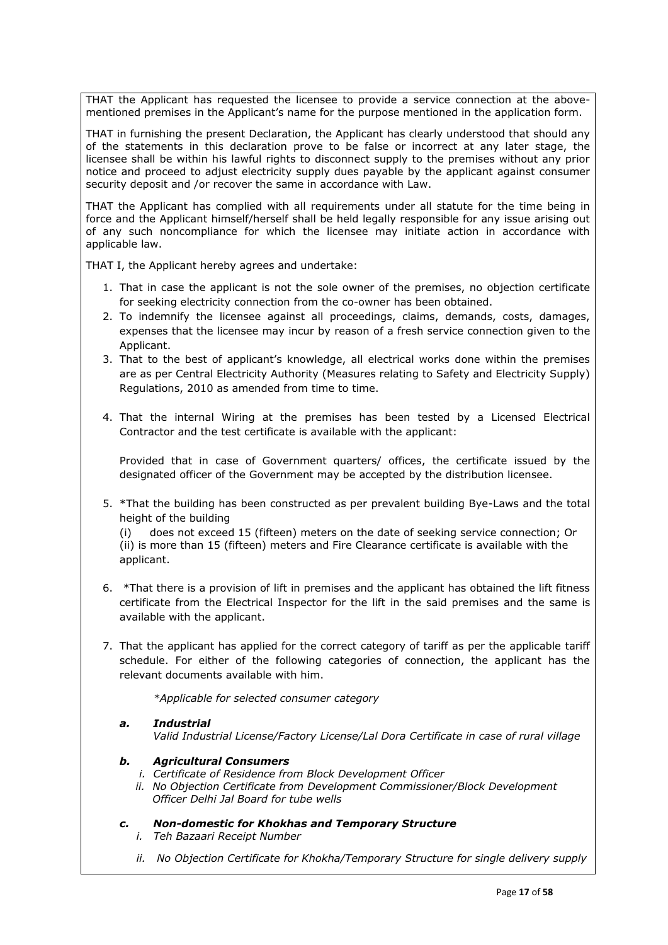THAT the Applicant has requested the licensee to provide a service connection at the abovementioned premises in the Applicant's name for the purpose mentioned in the application form.

THAT in furnishing the present Declaration, the Applicant has clearly understood that should any of the statements in this declaration prove to be false or incorrect at any later stage, the licensee shall be within his lawful rights to disconnect supply to the premises without any prior notice and proceed to adjust electricity supply dues payable by the applicant against consumer security deposit and /or recover the same in accordance with Law.

THAT the Applicant has complied with all requirements under all statute for the time being in force and the Applicant himself/herself shall be held legally responsible for any issue arising out of any such noncompliance for which the licensee may initiate action in accordance with applicable law.

THAT I, the Applicant hereby agrees and undertake:

- 1. That in case the applicant is not the sole owner of the premises, no objection certificate for seeking electricity connection from the co-owner has been obtained.
- 2. To indemnify the licensee against all proceedings, claims, demands, costs, damages, expenses that the licensee may incur by reason of a fresh service connection given to the Applicant.
- 3. That to the best of applicant's knowledge, all electrical works done within the premises are as per Central Electricity Authority (Measures relating to Safety and Electricity Supply) Regulations, 2010 as amended from time to time.
- 4. That the internal Wiring at the premises has been tested by a Licensed Electrical Contractor and the test certificate is available with the applicant:

Provided that in case of Government quarters/ offices, the certificate issued by the designated officer of the Government may be accepted by the distribution licensee.

5. \*That the building has been constructed as per prevalent building Bye-Laws and the total height of the building

(i) does not exceed 15 (fifteen) meters on the date of seeking service connection; Or (ii) is more than 15 (fifteen) meters and Fire Clearance certificate is available with the applicant.

- 6. \*That there is a provision of lift in premises and the applicant has obtained the lift fitness certificate from the Electrical Inspector for the lift in the said premises and the same is available with the applicant.
- 7. That the applicant has applied for the correct category of tariff as per the applicable tariff schedule. For either of the following categories of connection, the applicant has the relevant documents available with him.

 *\*Applicable for selected consumer category* 

*a. Industrial Valid Industrial License/Factory License/Lal Dora Certificate in case of rural village* 

## *b. Agricultural Consumers*

- *i. Certificate of Residence from Block Development Officer*
- *ii. No Objection Certificate from Development Commissioner/Block Development Officer Delhi Jal Board for tube wells*

## *c. Non-domestic for Khokhas and Temporary Structure*

- *i. Teh Bazaari Receipt Number*
- *ii. No Objection Certificate for Khokha/Temporary Structure for single delivery supply*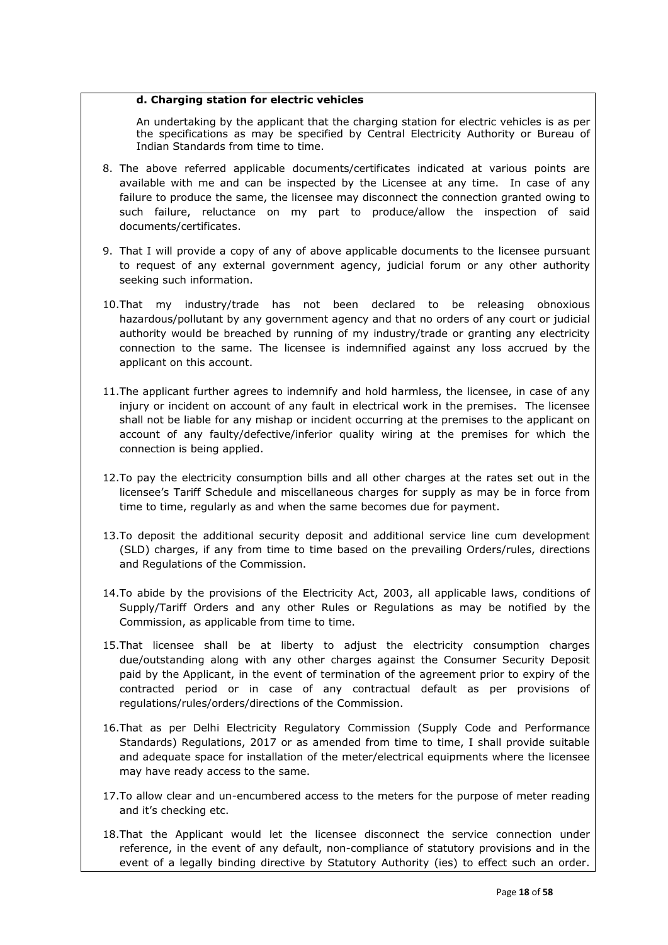## **d. Charging station for electric vehicles**

An undertaking by the applicant that the charging station for electric vehicles is as per the specifications as may be specified by Central Electricity Authority or Bureau of Indian Standards from time to time.

- 8. The above referred applicable documents/certificates indicated at various points are available with me and can be inspected by the Licensee at any time. In case of any failure to produce the same, the licensee may disconnect the connection granted owing to such failure, reluctance on my part to produce/allow the inspection of said documents/certificates.
- 9. That I will provide a copy of any of above applicable documents to the licensee pursuant to request of any external government agency, judicial forum or any other authority seeking such information.
- 10.That my industry/trade has not been declared to be releasing obnoxious hazardous/pollutant by any government agency and that no orders of any court or judicial authority would be breached by running of my industry/trade or granting any electricity connection to the same. The licensee is indemnified against any loss accrued by the applicant on this account.
- 11.The applicant further agrees to indemnify and hold harmless, the licensee, in case of any injury or incident on account of any fault in electrical work in the premises. The licensee shall not be liable for any mishap or incident occurring at the premises to the applicant on account of any faulty/defective/inferior quality wiring at the premises for which the connection is being applied.
- 12.To pay the electricity consumption bills and all other charges at the rates set out in the licensee's Tariff Schedule and miscellaneous charges for supply as may be in force from time to time, regularly as and when the same becomes due for payment.
- 13.To deposit the additional security deposit and additional service line cum development (SLD) charges, if any from time to time based on the prevailing Orders/rules, directions and Regulations of the Commission.
- 14.To abide by the provisions of the Electricity Act, 2003, all applicable laws, conditions of Supply/Tariff Orders and any other Rules or Regulations as may be notified by the Commission, as applicable from time to time.
- 15.That licensee shall be at liberty to adjust the electricity consumption charges due/outstanding along with any other charges against the Consumer Security Deposit paid by the Applicant, in the event of termination of the agreement prior to expiry of the contracted period or in case of any contractual default as per provisions of regulations/rules/orders/directions of the Commission.
- 16.That as per Delhi Electricity Regulatory Commission (Supply Code and Performance Standards) Regulations, 2017 or as amended from time to time, I shall provide suitable and adequate space for installation of the meter/electrical equipments where the licensee may have ready access to the same.
- 17.To allow clear and un-encumbered access to the meters for the purpose of meter reading and it's checking etc.
- 18.That the Applicant would let the licensee disconnect the service connection under reference, in the event of any default, non-compliance of statutory provisions and in the event of a legally binding directive by Statutory Authority (ies) to effect such an order.